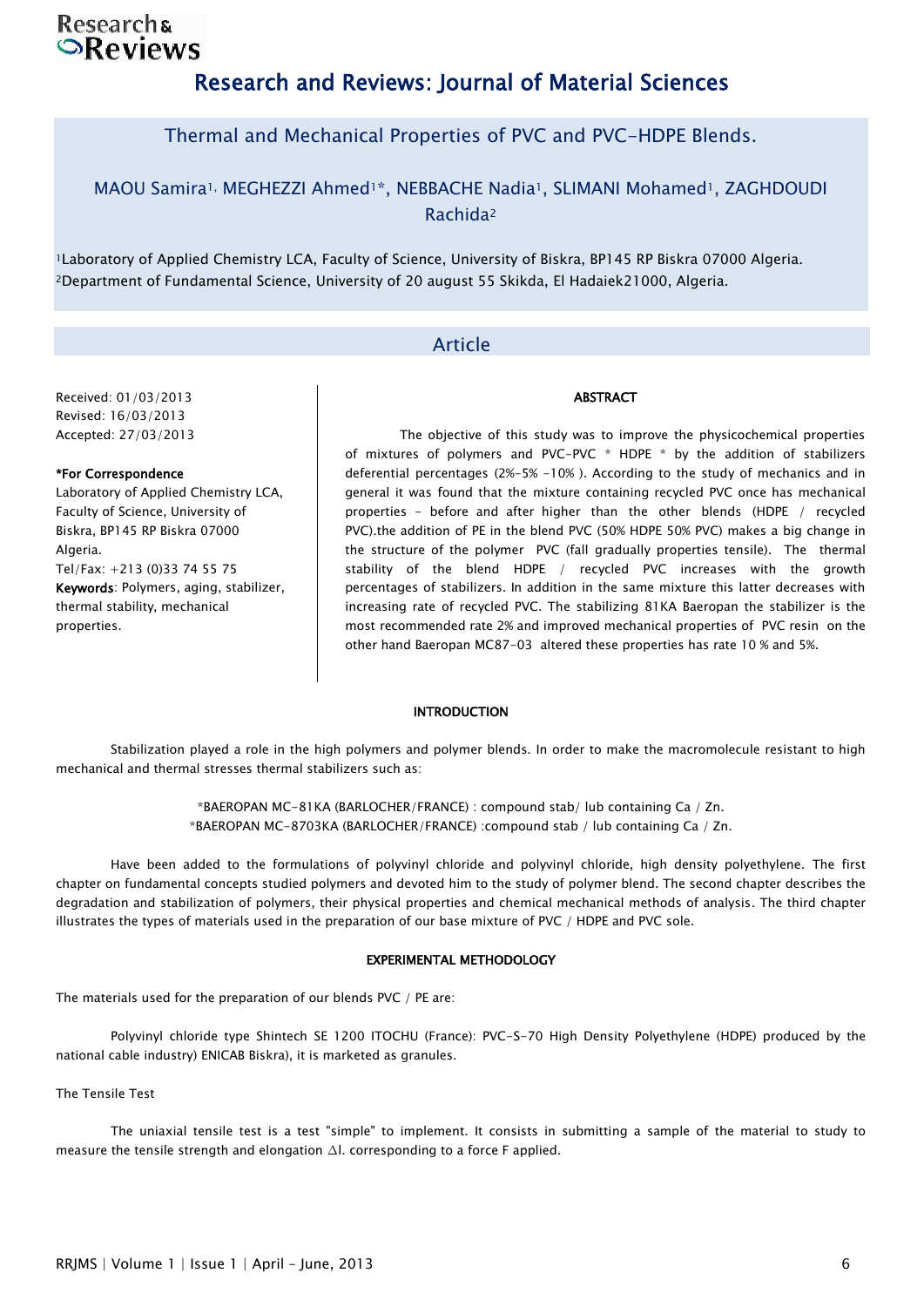### **Researchs**  $\odot$ Reviews

# Research and Reviews: Journal of Material Sciences

### Thermal and Mechanical Properties of PVC and PVC-HDPE Blends.

### MAOU Samira<sup>1,</sup> MEGHEZZI Ahmed<sup>1\*</sup>, NEBBACHE Nadia<sup>1</sup>, SLIMANI Mohamed<sup>1</sup>, ZAGHDOUDI Rachida<sup>2</sup>

<sup>1</sup>Laboratory of Applied Chemistry LCA, Faculty of Science, University of Biskra, BP145 RP Biskra 07000 Algeria. <sup>2</sup>Department of Fundamental Science, University of 20 august 55 Skikda, El Hadaiek21000, Algeria.

### Article

### Received: 01/03/2013 Revised: 16/03/2013 Accepted: 27/03/2013

### \*For Correspondence

Laboratory of Applied Chemistry LCA, Faculty of Science, University of Biskra, BP145 RP Biskra 07000 Algeria. Tel/Fax: +213 (0)33 74 55 75 Keywords: Polymers, aging, stabilizer, thermal stability, mechanical properties.

The objective of this study was to improve the physicochemical properties of mixtures of polymers and PVC-PVC \* HDPE \* by the addition of stabilizers deferential percentages (2%-5% -10% ). According to the study of mechanics and in general it was found that the mixture containing recycled PVC once has mechanical properties - before and after higher than the other blends (HDPE / recycled PVC).the addition of PE in the blend PVC (50% HDPE 50% PVC) makes a big change in the structure of the polymer PVC (fall gradually properties tensile). The thermal stability of the blend HDPE / recycled PVC increases with the growth percentages of stabilizers. In addition in the same mixture this latter decreases with increasing rate of recycled PVC. The stabilizing 81KA Baeropan the stabilizer is the most recommended rate 2% and improved mechanical properties of PVC resin on the other hand Baeropan MC87-03 altered these properties has rate 10 % and 5%.

**ABSTRACT** 

#### INTRODUCTION

Stabilization played a role in the high polymers and polymer blends. In order to make the macromolecule resistant to high mechanical and thermal stresses thermal stabilizers such as:

> \*BAEROPAN MC-81KA (BARLOCHER/FRANCE) : compound stab/ lub containing Ca / Zn. \*BAEROPAN MC-8703KA (BARLOCHER/FRANCE) :compound stab / lub containing Ca / Zn.

Have been added to the formulations of polyvinyl chloride and polyvinyl chloride, high density polyethylene. The first chapter on fundamental concepts studied polymers and devoted him to the study of polymer blend. The second chapter describes the degradation and stabilization of polymers, their physical properties and chemical mechanical methods of analysis. The third chapter illustrates the types of materials used in the preparation of our base mixture of PVC / HDPE and PVC sole.

### EXPERIMENTAL METHODOLOGY

The materials used for the preparation of our blends PVC / PE are:

Polyvinyl chloride type Shintech SE 1200 ITOCHU (France): PVC-S-70 High Density Polyethylene (HDPE) produced by the national cable industry) ENICAB Biskra), it is marketed as granules.

The Tensile Test

The uniaxial tensile test is a test "simple" to implement. It consists in submitting a sample of the material to study to measure the tensile strength and elongation ∆l. corresponding to a force F applied.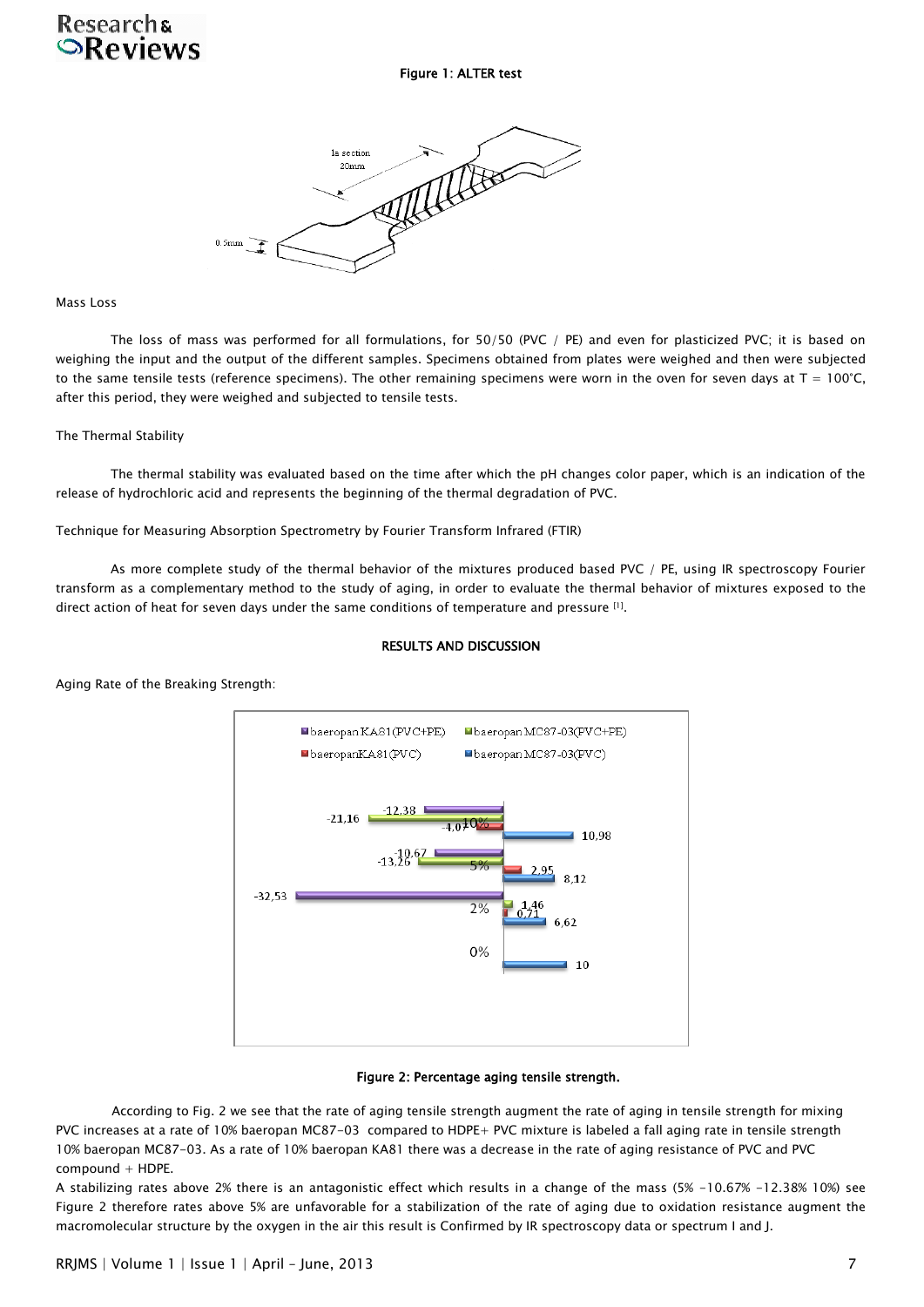## **Researchs ORAVIAWS**

Figure 1: ALTER test

MARIT la section  $20mm$  $0.5$ mm

Mass Loss

The loss of mass was performed for all formulations, for 50/50 (PVC / PE) and even for plasticized PVC; it is based on weighing the input and the output of the different samples. Specimens obtained from plates were weighed and then were subjected to the same tensile tests (reference specimens). The other remaining specimens were worn in the oven for seven days at  $T = 100^{\circ}C$ , after this period, they were weighed and subjected to tensile tests.

### The Thermal Stability

The thermal stability was evaluated based on the time after which the pH changes color paper, which is an indication of the release of hydrochloric acid and represents the beginning of the thermal degradation of PVC.

Technique for Measuring Absorption Spectrometry by Fourier Transform Infrared (FTIR)

As more complete study of the thermal behavior of the mixtures produced based PVC / PE, using IR spectroscopy Fourier transform as a complementary method to the study of aging, in order to evaluate the thermal behavior of mixtures exposed to the direct action of heat for seven days under the same conditions of temperature and pressure [1].

## RESULTS AND DISCUSSION



Aging Rate of the Breaking Strength:

### Figure 2: Percentage aging tensile strength.

According to Fig. 2 we see that the rate of aging tensile strength augment the rate of aging in tensile strength for mixing PVC increases at a rate of 10% baeropan MC87-03 compared to HDPE+ PVC mixture is labeled a fall aging rate in tensile strength 10% baeropan MC87-03. As a rate of 10% baeropan KA81 there was a decrease in the rate of aging resistance of PVC and PVC compound + HDPE.

A stabilizing rates above 2% there is an antagonistic effect which results in a change of the mass (5% -10.67% -12.38% 10%) see Figure 2 therefore rates above 5% are unfavorable for a stabilization of the rate of aging due to oxidation resistance augment the macromolecular structure by the oxygen in the air this result is Confirmed by IR spectroscopy data or spectrum I and J.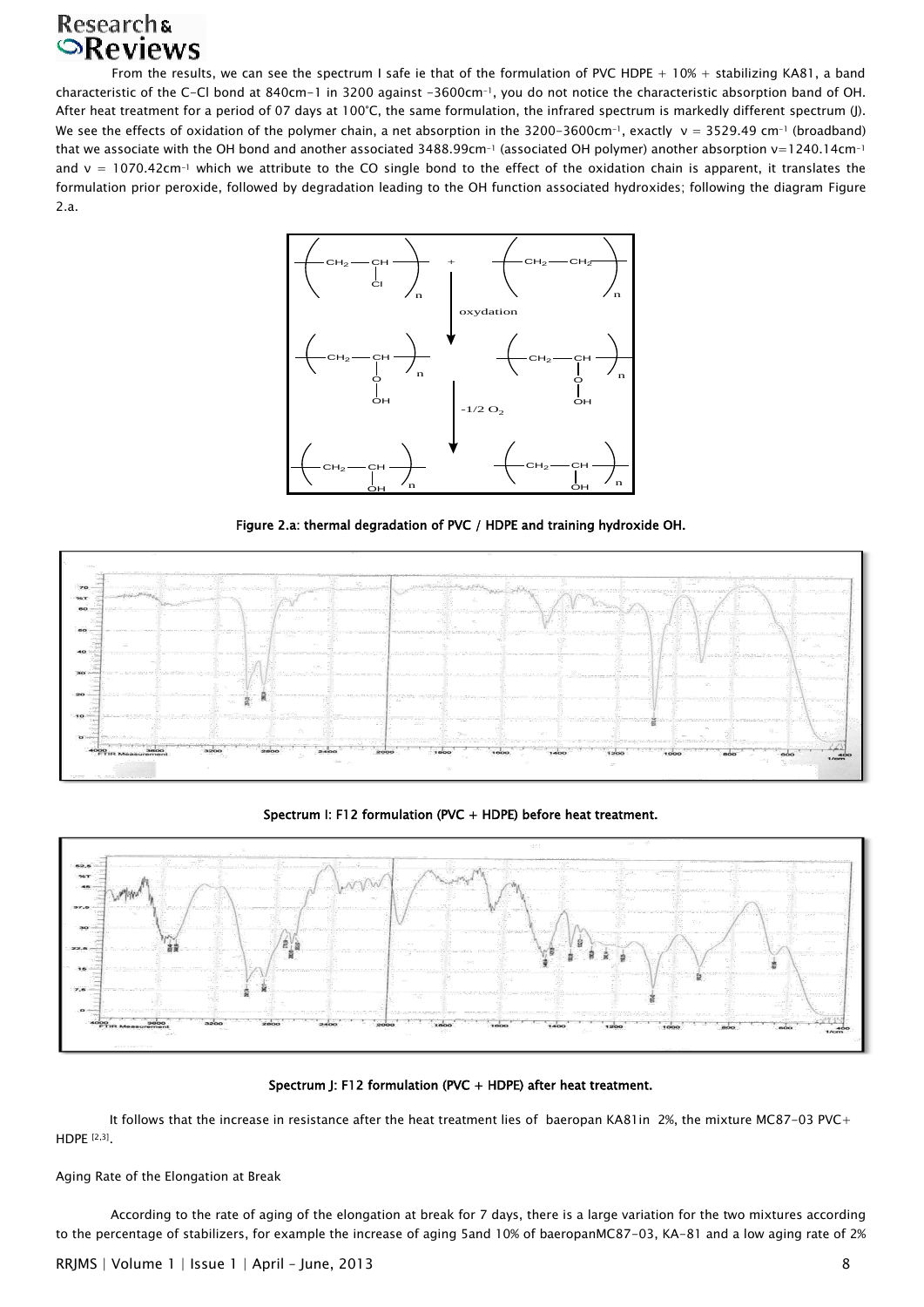# Researchs<br> **Reviews**

From the results, we can see the spectrum I safe ie that of the formulation of PVC HDPE  $+ 10\% +$  stabilizing KA81, a band characteristic of the C-Cl bond at 840cm-1 in 3200 against -3600cm-1, you do not notice the characteristic absorption band of OH. After heat treatment for a period of 07 days at 100°C, the same formulation, the infrared spectrum is markedly different spectrum (J). We see the effects of oxidation of the polymer chain, a net absorption in the 3200-3600cm<sup>-1</sup>, exactly  $v = 3529.49$  cm<sup>-1</sup> (broadband) that we associate with the OH bond and another associated 3488.99cm<sup>-1</sup> (associated OH polymer) another absorption ν=1240.14cm<sup>-1</sup> and  $v = 1070.42$ cm<sup>-1</sup> which we attribute to the CO single bond to the effect of the oxidation chain is apparent, it translates the formulation prior peroxide, followed by degradation leading to the OH function associated hydroxides; following the diagram Figure 2.a.



Figure 2.a: thermal degradation of PVC / HDPE and training hydroxide OH.



Spectrum I: F12 formulation (PVC + HDPE) before heat treatment.



Spectrum J: F12 formulation (PVC + HDPE) after heat treatment.

It follows that the increase in resistance after the heat treatment lies of baeropan KA81in 2%, the mixture MC87-03 PVC+ HDPE [2,3] .

Aging Rate of the Elongation at Break

According to the rate of aging of the elongation at break for 7 days, there is a large variation for the two mixtures according to the percentage of stabilizers, for example the increase of aging 5and 10% of baeropanMC87-03, KA-81 and a low aging rate of 2%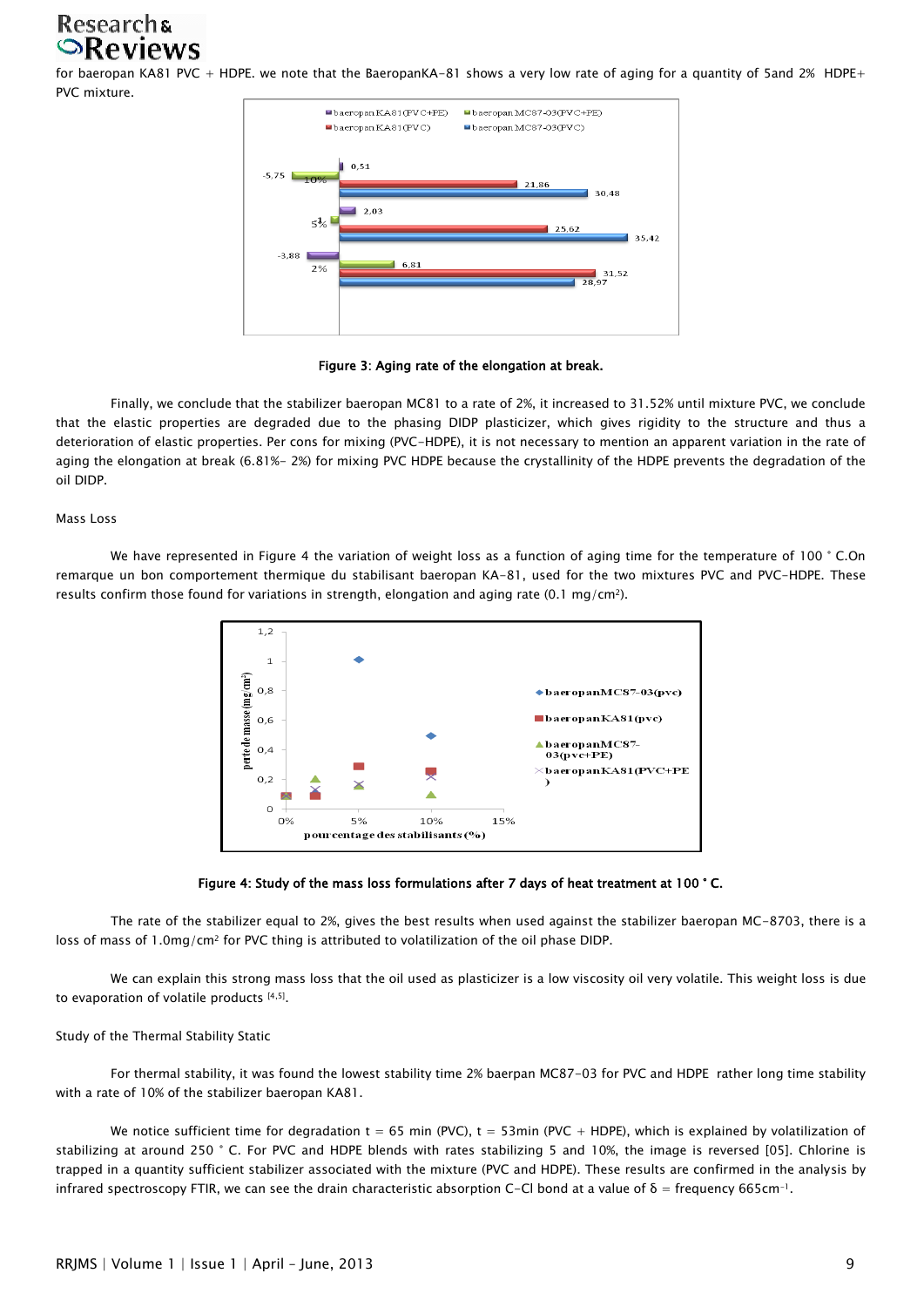## **Researchs SReviews**

for baeropan KA81 PVC + HDPE. we note that the BaeropanKA-81 shows a very low rate of aging for a quantity of 5and 2% HDPE+ PVC mixture.



Figure 3: Aging rate of the elongation at break.

Finally, we conclude that the stabilizer baeropan MC81 to a rate of 2%, it increased to 31.52% until mixture PVC, we conclude that the elastic properties are degraded due to the phasing DIDP plasticizer, which gives rigidity to the structure and thus a deterioration of elastic properties. Per cons for mixing (PVC-HDPE), it is not necessary to mention an apparent variation in the rate of aging the elongation at break (6.81%- 2%) for mixing PVC HDPE because the crystallinity of the HDPE prevents the degradation of the oil DIDP.

#### Mass Loss

We have represented in Figure 4 the variation of weight loss as a function of aging time for the temperature of 100 ° C.On remarque un bon comportement thermique du stabilisant baeropan KA-81, used for the two mixtures PVC and PVC-HDPE. These results confirm those found for variations in strength, elongation and aging rate (0.1 mg/cm<sup>2</sup>).





The rate of the stabilizer equal to 2%, gives the best results when used against the stabilizer baeropan MC-8703, there is a loss of mass of 1.0mg/cm<sup>2</sup> for PVC thing is attributed to volatilization of the oil phase DIDP.

We can explain this strong mass loss that the oil used as plasticizer is a low viscosity oil very volatile. This weight loss is due to evaporation of volatile products [4,5] .

#### Study of the Thermal Stability Static

For thermal stability, it was found the lowest stability time 2% baerpan MC87-03 for PVC and HDPE rather long time stability with a rate of 10% of the stabilizer baeropan KA81.

We notice sufficient time for degradation  $t = 65$  min (PVC),  $t = 53$ min (PVC + HDPE), which is explained by volatilization of stabilizing at around 250 ° C. For PVC and HDPE blends with rates stabilizing 5 and 10%, the image is reversed [05]. Chlorine is trapped in a quantity sufficient stabilizer associated with the mixture (PVC and HDPE). These results are confirmed in the analysis by infrared spectroscopy FTIR, we can see the drain characteristic absorption C-Cl bond at a value of  $\delta$  = frequency 665cm<sup>-1</sup>.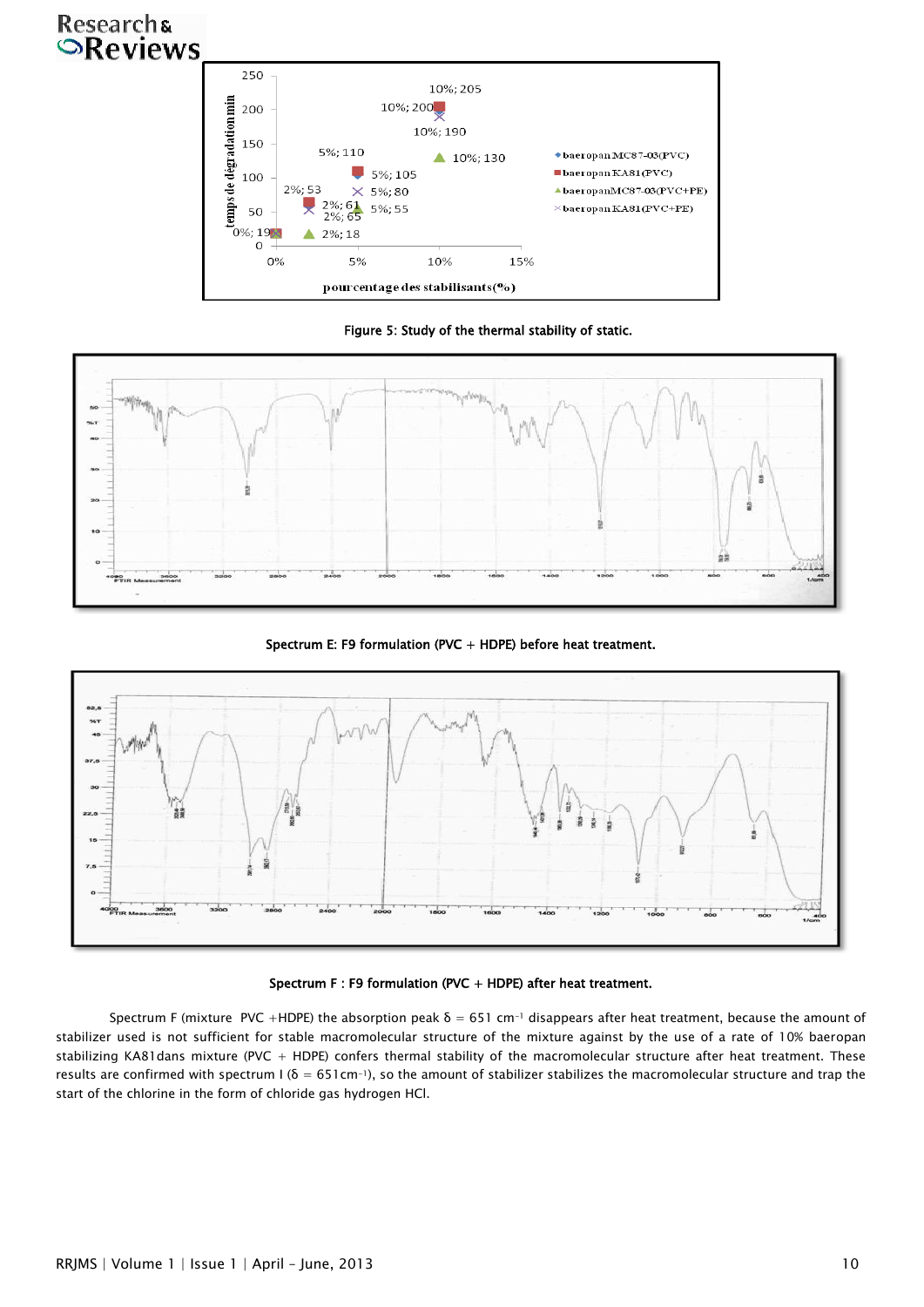# Researchs<br> **Reviews**



Figure 5: Study of the thermal stability of static.



Spectrum E: F9 formulation (PVC + HDPE) before heat treatment.



### Spectrum F : F9 formulation (PVC + HDPE) after heat treatment.

Spectrum F (mixture PVC +HDPE) the absorption peak  $\delta = 651$  cm<sup>-1</sup> disappears after heat treatment, because the amount of stabilizer used is not sufficient for stable macromolecular structure of the mixture against by the use of a rate of 10% baeropan stabilizing KA81dans mixture (PVC + HDPE) confers thermal stability of the macromolecular structure after heat treatment. These results are confirmed with spectrum  $1(δ = 651cm^{-1})$ , so the amount of stabilizer stabilizes the macromolecular structure and trap the start of the chlorine in the form of chloride gas hydrogen HCl.